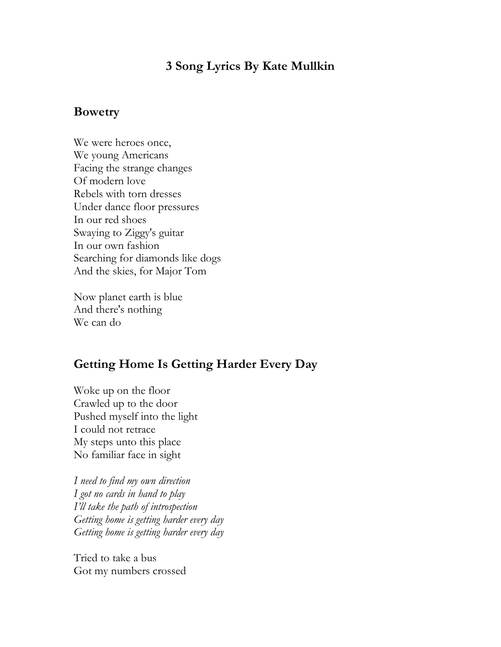## **3 Song Lyrics By Kate Mullkin**

## **Bowetry**

We were heroes once, We young Americans Facing the strange changes Of modern love Rebels with torn dresses Under dance floor pressures In our red shoes Swaying to Ziggy's guitar In our own fashion Searching for diamonds like dogs And the skies, for Major Tom

Now planet earth is blue And there's nothing We can do

## **Getting Home Is Getting Harder Every Day**

Woke up on the floor Crawled up to the door Pushed myself into the light I could not retrace My steps unto this place No familiar face in sight

*I need to find my own direction I got no cards in hand to play I'll take the path of introspection Getting home is getting harder every day Getting home is getting harder every day*

Tried to take a bus Got my numbers crossed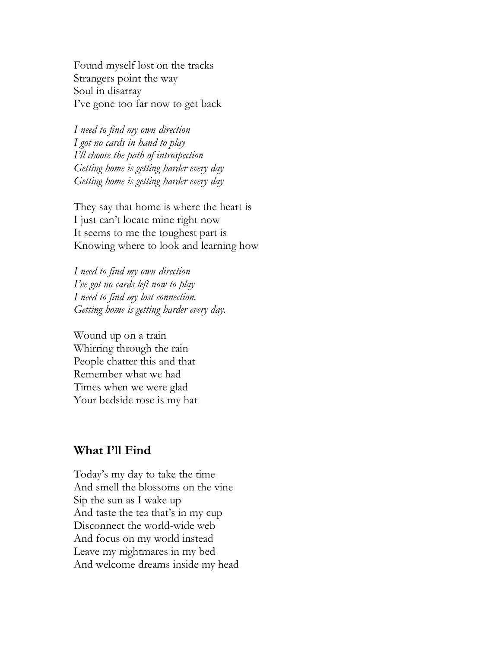Found myself lost on the tracks Strangers point the way Soul in disarray I've gone too far now to get back

*I need to find my own direction I got no cards in hand to play I'll choose the path of introspection Getting home is getting harder every day Getting home is getting harder every day*

They say that home is where the heart is I just can't locate mine right now It seems to me the toughest part is Knowing where to look and learning how

*I need to find my own direction I've got no cards left now to play I need to find my lost connection. Getting home is getting harder every day.* 

Wound up on a train Whirring through the rain People chatter this and that Remember what we had Times when we were glad Your bedside rose is my hat

## **What I'll Find**

Today's my day to take the time And smell the blossoms on the vine Sip the sun as I wake up And taste the tea that's in my cup Disconnect the world-wide web And focus on my world instead Leave my nightmares in my bed And welcome dreams inside my head